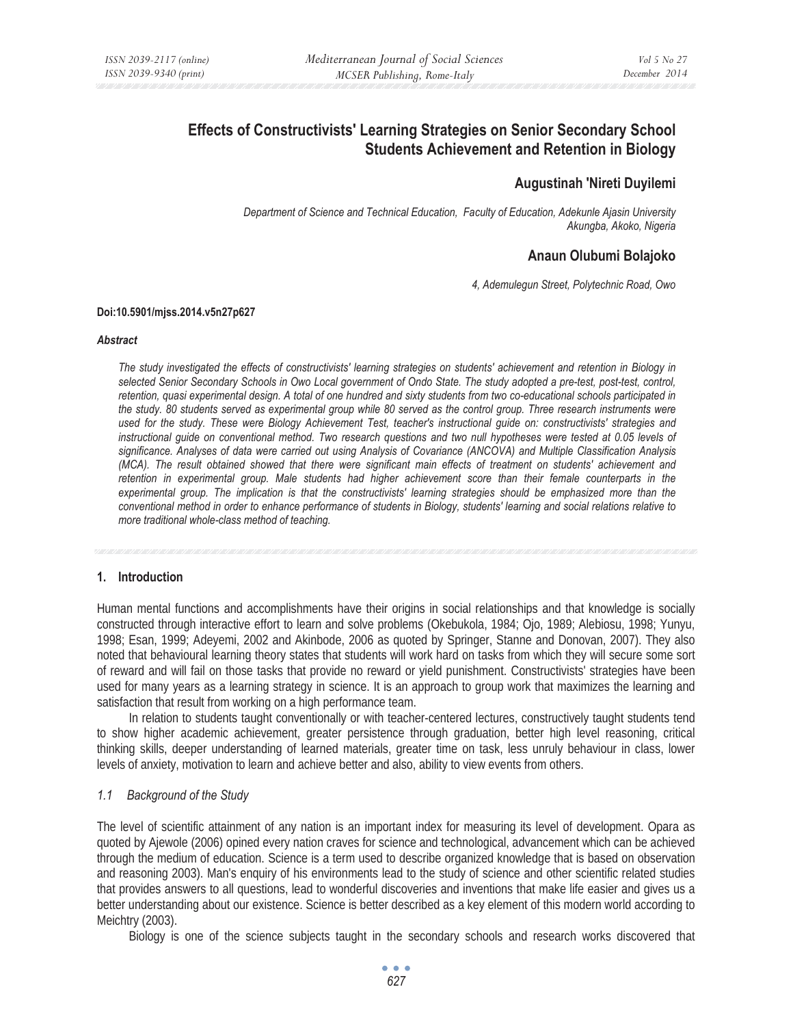# **Effects of Constructivists' Learning Strategies on Senior Secondary School Students Achievement and Retention in Biology**

# **Augustinah 'Nireti Duyilemi**

*Department of Science and Technical Education, Faculty of Education, Adekunle Ajasin University Akungba, Akoko, Nigeria* 

# **Anaun Olubumi Bolajoko**

*4, Ademulegun Street, Polytechnic Road, Owo* 

#### **Doi:10.5901/mjss.2014.v5n27p627**

#### *Abstract*

*The study investigated the effects of constructivists' learning strategies on students' achievement and retention in Biology in selected Senior Secondary Schools in Owo Local government of Ondo State. The study adopted a pre-test, post-test, control, retention, quasi experimental design. A total of one hundred and sixty students from two co-educational schools participated in the study. 80 students served as experimental group while 80 served as the control group. Three research instruments were used for the study. These were Biology Achievement Test, teacher's instructional guide on: constructivists' strategies and instructional guide on conventional method. Two research questions and two null hypotheses were tested at 0.05 levels of significance. Analyses of data were carried out using Analysis of Covariance (ANCOVA) and Multiple Classification Analysis (MCA). The result obtained showed that there were significant main effects of treatment on students' achievement and retention in experimental group. Male students had higher achievement score than their female counterparts in the experimental group. The implication is that the constructivists' learning strategies should be emphasized more than the conventional method in order to enhance performance of students in Biology, students' learning and social relations relative to more traditional whole-class method of teaching.* 

### **1. Introduction**

Human mental functions and accomplishments have their origins in social relationships and that knowledge is socially constructed through interactive effort to learn and solve problems (Okebukola, 1984; Ojo, 1989; Alebiosu, 1998; Yunyu, 1998; Esan, 1999; Adeyemi, 2002 and Akinbode, 2006 as quoted by Springer, Stanne and Donovan, 2007). They also noted that behavioural learning theory states that students will work hard on tasks from which they will secure some sort of reward and will fail on those tasks that provide no reward or yield punishment. Constructivists' strategies have been used for many years as a learning strategy in science. It is an approach to group work that maximizes the learning and satisfaction that result from working on a high performance team.

In relation to students taught conventionally or with teacher-centered lectures, constructively taught students tend to show higher academic achievement, greater persistence through graduation, better high level reasoning, critical thinking skills, deeper understanding of learned materials, greater time on task, less unruly behaviour in class, lower levels of anxiety, motivation to learn and achieve better and also, ability to view events from others.

### *1.1 Background of the Study*

The level of scientific attainment of any nation is an important index for measuring its level of development. Opara as quoted by Ajewole (2006) opined every nation craves for science and technological, advancement which can be achieved through the medium of education. Science is a term used to describe organized knowledge that is based on observation and reasoning 2003). Man's enquiry of his environments lead to the study of science and other scientific related studies that provides answers to all questions, lead to wonderful discoveries and inventions that make life easier and gives us a better understanding about our existence. Science is better described as a key element of this modern world according to Meichtry (2003).

Biology is one of the science subjects taught in the secondary schools and research works discovered that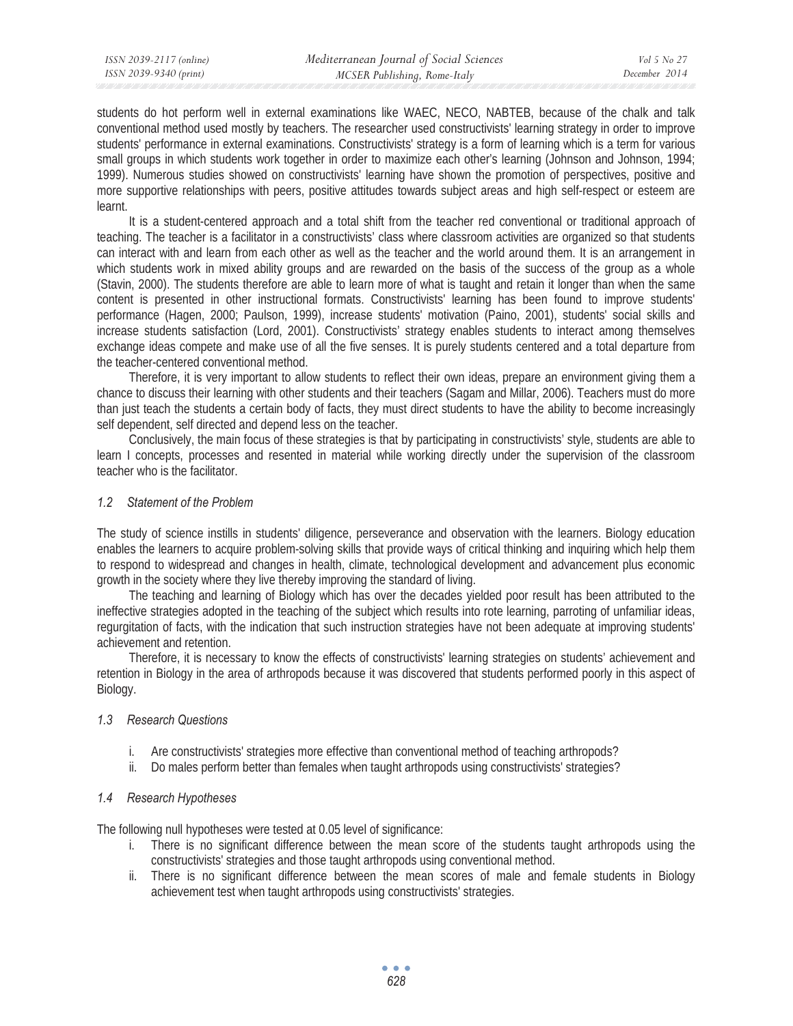students do hot perform well in external examinations like WAEC, NECO, NABTEB, because of the chalk and talk conventional method used mostly by teachers. The researcher used constructivists' learning strategy in order to improve students' performance in external examinations. Constructivists' strategy is a form of learning which is a term for various small groups in which students work together in order to maximize each other's learning (Johnson and Johnson, 1994; 1999). Numerous studies showed on constructivists' learning have shown the promotion of perspectives, positive and more supportive relationships with peers, positive attitudes towards subject areas and high self-respect or esteem are learnt.

It is a student-centered approach and a total shift from the teacher red conventional or traditional approach of teaching. The teacher is a facilitator in a constructivists' class where classroom activities are organized so that students can interact with and learn from each other as well as the teacher and the world around them. It is an arrangement in which students work in mixed ability groups and are rewarded on the basis of the success of the group as a whole (Stavin, 2000). The students therefore are able to learn more of what is taught and retain it longer than when the same content is presented in other instructional formats. Constructivists' learning has been found to improve students' performance (Hagen, 2000; Paulson, 1999), increase students' motivation (Paino, 2001), students' social skills and increase students satisfaction (Lord, 2001). Constructivists' strategy enables students to interact among themselves exchange ideas compete and make use of all the five senses. It is purely students centered and a total departure from the teacher-centered conventional method.

Therefore, it is very important to allow students to reflect their own ideas, prepare an environment giving them a chance to discuss their learning with other students and their teachers (Sagam and Millar, 2006). Teachers must do more than just teach the students a certain body of facts, they must direct students to have the ability to become increasingly self dependent, self directed and depend less on the teacher.

Conclusively, the main focus of these strategies is that by participating in constructivists' style, students are able to learn I concepts, processes and resented in material while working directly under the supervision of the classroom teacher who is the facilitator.

### *1.2 Statement of the Problem*

The study of science instills in students' diligence, perseverance and observation with the learners. Biology education enables the learners to acquire problem-solving skills that provide ways of critical thinking and inquiring which help them to respond to widespread and changes in health, climate, technological development and advancement plus economic growth in the society where they live thereby improving the standard of living.

The teaching and learning of Biology which has over the decades yielded poor result has been attributed to the ineffective strategies adopted in the teaching of the subject which results into rote learning, parroting of unfamiliar ideas, regurgitation of facts, with the indication that such instruction strategies have not been adequate at improving students' achievement and retention.

Therefore, it is necessary to know the effects of constructivists' learning strategies on students' achievement and retention in Biology in the area of arthropods because it was discovered that students performed poorly in this aspect of Biology.

### *1.3 Research Questions*

- i. Are constructivists' strategies more effective than conventional method of teaching arthropods?
- ii. Do males perform better than females when taught arthropods using constructivists' strategies?

# *1.4 Research Hypotheses*

The following null hypotheses were tested at 0.05 level of significance:

- There is no significant difference between the mean score of the students taught arthropods using the constructivists' strategies and those taught arthropods using conventional method.
- ii. There is no significant difference between the mean scores of male and female students in Biology achievement test when taught arthropods using constructivists' strategies.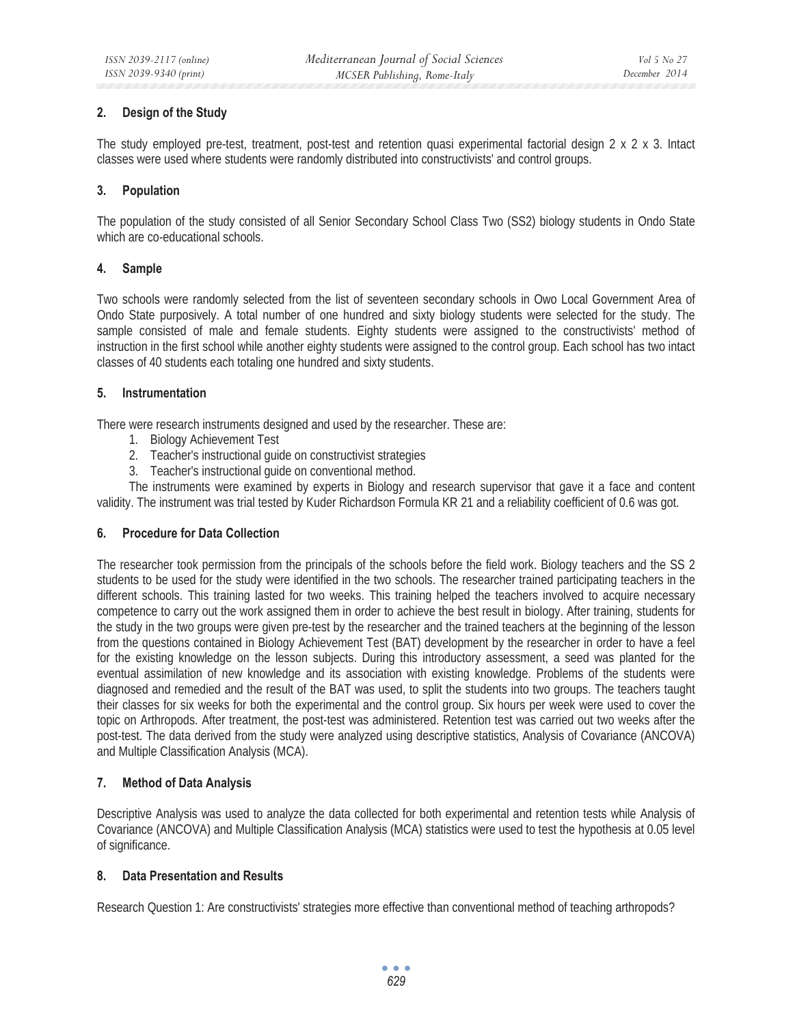# **2. Design of the Study**

The study employed pre-test, treatment, post-test and retention quasi experimental factorial design 2 x 2 x 3. Intact classes were used where students were randomly distributed into constructivists' and control groups.

# **3. Population**

The population of the study consisted of all Senior Secondary School Class Two (SS2) biology students in Ondo State which are co-educational schools.

# **4. Sample**

Two schools were randomly selected from the list of seventeen secondary schools in Owo Local Government Area of Ondo State purposively. A total number of one hundred and sixty biology students were selected for the study. The sample consisted of male and female students. Eighty students were assigned to the constructivists' method of instruction in the first school while another eighty students were assigned to the control group. Each school has two intact classes of 40 students each totaling one hundred and sixty students.

# **5. Instrumentation**

There were research instruments designed and used by the researcher. These are:

- 1. Biology Achievement Test
- 2. Teacher's instructional guide on constructivist strategies
- 3. Teacher's instructional guide on conventional method.

The instruments were examined by experts in Biology and research supervisor that gave it a face and content validity. The instrument was trial tested by Kuder Richardson Formula KR 21 and a reliability coefficient of 0.6 was got.

### **6. Procedure for Data Collection**

The researcher took permission from the principals of the schools before the field work. Biology teachers and the SS 2 students to be used for the study were identified in the two schools. The researcher trained participating teachers in the different schools. This training lasted for two weeks. This training helped the teachers involved to acquire necessary competence to carry out the work assigned them in order to achieve the best result in biology. After training, students for the study in the two groups were given pre-test by the researcher and the trained teachers at the beginning of the lesson from the questions contained in Biology Achievement Test (BAT) development by the researcher in order to have a feel for the existing knowledge on the lesson subjects. During this introductory assessment, a seed was planted for the eventual assimilation of new knowledge and its association with existing knowledge. Problems of the students were diagnosed and remedied and the result of the BAT was used, to split the students into two groups. The teachers taught their classes for six weeks for both the experimental and the control group. Six hours per week were used to cover the topic on Arthropods. After treatment, the post-test was administered. Retention test was carried out two weeks after the post-test. The data derived from the study were analyzed using descriptive statistics, Analysis of Covariance (ANCOVA) and Multiple Classification Analysis (MCA).

### **7. Method of Data Analysis**

Descriptive Analysis was used to analyze the data collected for both experimental and retention tests while Analysis of Covariance (ANCOVA) and Multiple Classification Analysis (MCA) statistics were used to test the hypothesis at 0.05 level of significance.

# **8. Data Presentation and Results**

Research Question 1: Are constructivists' strategies more effective than conventional method of teaching arthropods?

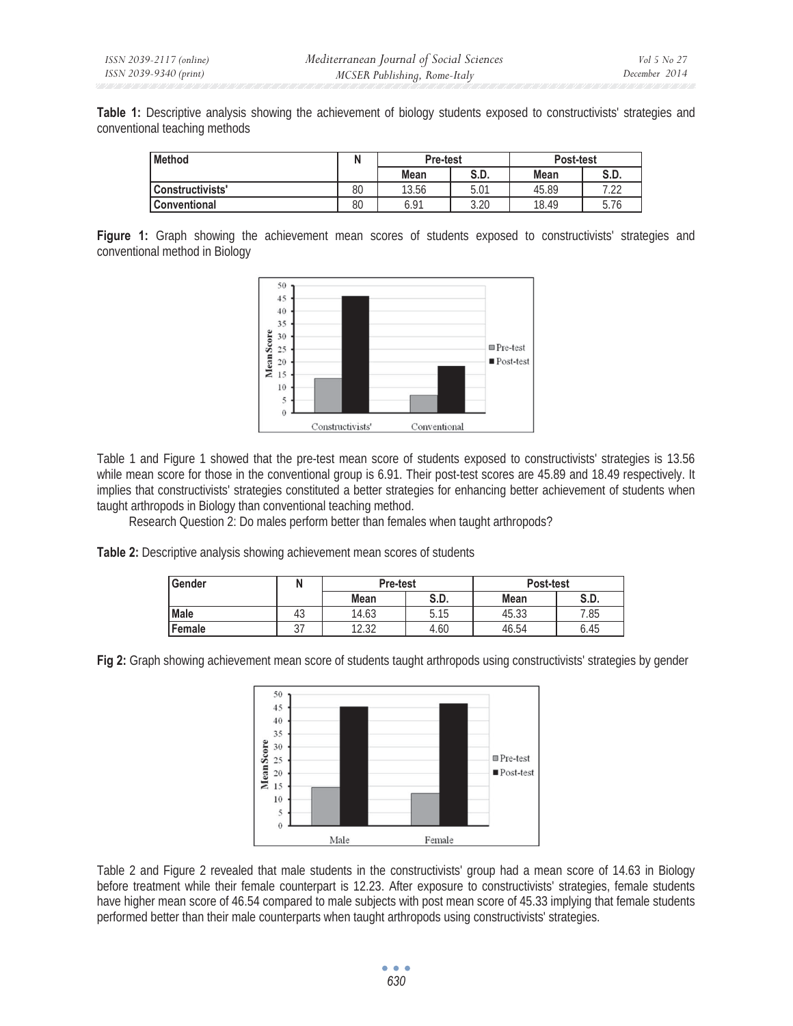**Table 1:** Descriptive analysis showing the achievement of biology students exposed to constructivists' strategies and conventional teaching methods

| <b>Method</b>       |    | <b>Pre-test</b> |      | Post-test   |              |
|---------------------|----|-----------------|------|-------------|--------------|
|                     |    | Mean            | S.D. | <b>Mean</b> | S.D.         |
| Constructivists'    | 80 | 13.56           | 5.01 | 45.89       | ר ר<br>ے ے . |
| <b>Conventional</b> | 80 | 6.91            | 3.20 | 18.49       | 5.76         |

**Figure 1:** Graph showing the achievement mean scores of students exposed to constructivists' strategies and conventional method in Biology



Table 1 and Figure 1 showed that the pre-test mean score of students exposed to constructivists' strategies is 13.56 while mean score for those in the conventional group is 6.91. Their post-test scores are 45.89 and 18.49 respectively. It implies that constructivists' strategies constituted a better strategies for enhancing better achievement of students when taught arthropods in Biology than conventional teaching method.

Research Question 2: Do males perform better than females when taught arthropods?

**Table 2:** Descriptive analysis showing achievement mean scores of students

| Gender |          | Pre-test     |      | Post-test   |      |  |
|--------|----------|--------------|------|-------------|------|--|
|        |          | S.D.<br>Mean |      | <b>Mean</b> | S.D. |  |
| Male   | ໍາ<br>43 | 14.63        | 5.15 | 45.33       | 7.85 |  |
| Female | ັ        | 1222<br>L.JL | 4.60 | 46.54       | 6.45 |  |

**Fig 2:** Graph showing achievement mean score of students taught arthropods using constructivists' strategies by gender



Table 2 and Figure 2 revealed that male students in the constructivists' group had a mean score of 14.63 in Biology before treatment while their female counterpart is 12.23. After exposure to constructivists' strategies, female students have higher mean score of 46.54 compared to male subjects with post mean score of 45.33 implying that female students performed better than their male counterparts when taught arthropods using constructivists' strategies.

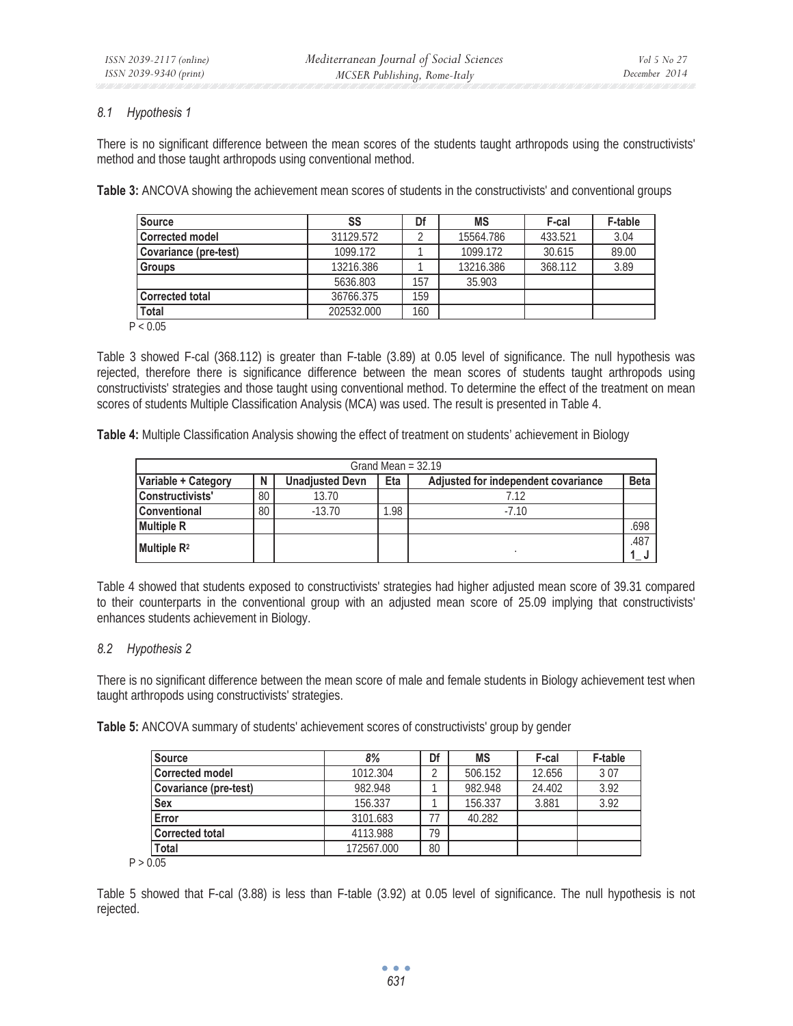### *8.1 Hypothesis 1*

There is no significant difference between the mean scores of the students taught arthropods using the constructivists' method and those taught arthropods using conventional method.

**Table 3:** ANCOVA showing the achievement mean scores of students in the constructivists' and conventional groups

| Source                | SS         | Df  | MS        | F-cal   | <b>F-table</b> |
|-----------------------|------------|-----|-----------|---------|----------------|
| Corrected model       | 31129.572  |     | 15564.786 | 433.521 | 3.04           |
| Covariance (pre-test) | 1099.172   |     | 1099.172  | 30.615  | 89.00          |
| <b>Groups</b>         | 13216.386  |     | 13216.386 | 368.112 | 3.89           |
|                       | 5636.803   | 157 | 35.903    |         |                |
| Corrected total       | 36766.375  | 159 |           |         |                |
| <b>Total</b>          | 202532.000 | 160 |           |         |                |

 $P < 0.05$ 

Table 3 showed F-cal (368.112) is greater than F-table (3.89) at 0.05 level of significance. The null hypothesis was rejected, therefore there is significance difference between the mean scores of students taught arthropods using constructivists' strategies and those taught using conventional method. To determine the effect of the treatment on mean scores of students Multiple Classification Analysis (MCA) was used. The result is presented in Table 4.

**Table 4:** Multiple Classification Analysis showing the effect of treatment on students' achievement in Biology

| Grand Mean = $32.19$    |    |                        |      |                                     |             |  |  |  |
|-------------------------|----|------------------------|------|-------------------------------------|-------------|--|--|--|
| Variable + Category     | N  | <b>Unadjusted Devn</b> | Eta  | Adjusted for independent covariance | <b>Beta</b> |  |  |  |
| Constructivists'        | 80 | 13.70                  |      | 7.12                                |             |  |  |  |
| <b>Conventional</b>     | 80 | $-13.70$               | 1.98 | $-7.10$                             |             |  |  |  |
| <b>Multiple R</b>       |    |                        |      |                                     | .698        |  |  |  |
| Multiple R <sup>2</sup> |    |                        |      |                                     | .487        |  |  |  |

Table 4 showed that students exposed to constructivists' strategies had higher adjusted mean score of 39.31 compared to their counterparts in the conventional group with an adjusted mean score of 25.09 implying that constructivists' enhances students achievement in Biology.

### *8.2 Hypothesis 2*

There is no significant difference between the mean score of male and female students in Biology achievement test when taught arthropods using constructivists' strategies.

**Table 5:** ANCOVA summary of students' achievement scores of constructivists' group by gender

| <b>Source</b>          | 8%         | Df         | <b>MS</b> | F-cal  | <b>F-table</b> |
|------------------------|------------|------------|-----------|--------|----------------|
| <b>Corrected model</b> | 1012.304   | $\sqrt{2}$ | 506.152   | 12.656 | 307            |
| Covariance (pre-test)  | 982.948    |            | 982.948   | 24.402 | 3.92           |
| <b>Sex</b>             | 156.337    |            | 156.337   | 3.881  | 3.92           |
| Error                  | 3101.683   | 77         | 40.282    |        |                |
| <b>Corrected total</b> | 4113.988   | 79         |           |        |                |
| Total                  | 172567.000 | 80         |           |        |                |

 $P > 0.05$ 

Table 5 showed that F-cal (3.88) is less than F-table (3.92) at 0.05 level of significance. The null hypothesis is not rejected.

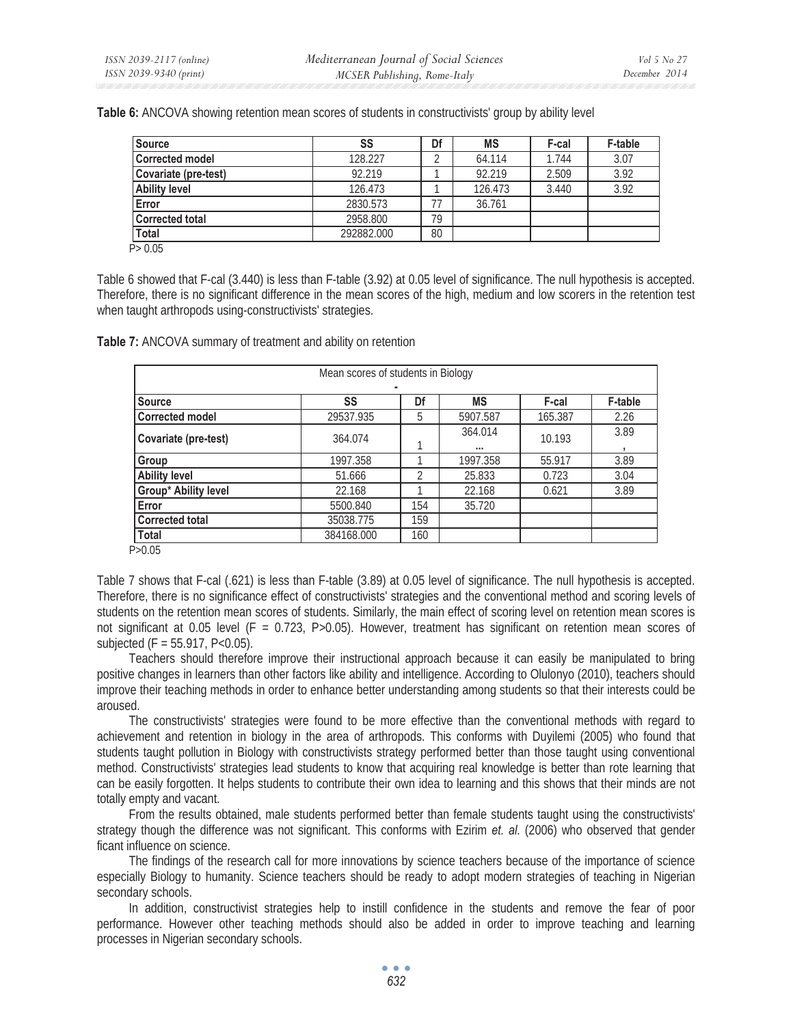| <b>Source</b>          | SS         | Df | <b>MS</b> | F-cal | <b>F-table</b> |
|------------------------|------------|----|-----------|-------|----------------|
| <b>Corrected model</b> | 128.227    |    | 64.114    | 1.744 | 3.07           |
| Covariate (pre-test)   | 92.219     |    | 92.219    | 2.509 | 3.92           |
| <b>Ability level</b>   | 126.473    |    | 126.473   | 3.440 | 3.92           |
| Error                  | 2830.573   |    | 36.761    |       |                |
| <b>Corrected total</b> | 2958.800   | 79 |           |       |                |
| <b>Total</b>           | 292882.000 | 80 |           |       |                |
| P > 0.05               |            |    |           |       |                |

**Table 6:** ANCOVA showing retention mean scores of students in constructivists' group by ability level

Table 6 showed that F-cal (3.440) is less than F-table (3.92) at 0.05 level of significance. The null hypothesis is accepted. Therefore, there is no significant difference in the mean scores of the high, medium and low scorers in the retention test when taught arthropods using-constructivists' strategies.

| Mean scores of students in Biology |            |     |           |         |                |  |  |  |
|------------------------------------|------------|-----|-----------|---------|----------------|--|--|--|
|                                    |            |     |           |         |                |  |  |  |
| <b>Source</b>                      | SS         | Df  | <b>MS</b> | F-cal   | <b>F-table</b> |  |  |  |
| <b>Corrected model</b>             | 29537.935  | 5   | 5907.587  | 165.387 | 2.26           |  |  |  |
| Covariate (pre-test)               | 364.074    |     | 364.014   | 10.193  | 3.89           |  |  |  |
|                                    |            |     |           |         |                |  |  |  |
| Group                              | 1997.358   |     | 1997.358  | 55.917  | 3.89           |  |  |  |
| <b>Ability level</b>               | 51.666     |     | 25.833    | 0.723   | 3.04           |  |  |  |
| <b>Group* Ability level</b>        | 22.168     |     | 22.168    | 0.621   | 3.89           |  |  |  |
| <b>Error</b>                       | 5500.840   | 154 | 35.720    |         |                |  |  |  |
| <b>Corrected total</b>             | 35038.775  | 159 |           |         |                |  |  |  |
| Total                              | 384168,000 | 160 |           |         |                |  |  |  |
| $\sim$ 0.0 $\sim$                  |            |     |           |         |                |  |  |  |

**Table 7:** ANCOVA summary of treatment and ability on retention

P>0.05

Table 7 shows that F-cal (.621) is less than F-table (3.89) at 0.05 level of significance. The null hypothesis is accepted. Therefore, there is no significance effect of constructivists' strategies and the conventional method and scoring levels of students on the retention mean scores of students. Similarly, the main effect of scoring level on retention mean scores is not significant at 0.05 level (F = 0.723, P>0.05). However, treatment has significant on retention mean scores of subjected  $(F = 55.917, P < 0.05)$ .

Teachers should therefore improve their instructional approach because it can easily be manipulated to bring positive changes in learners than other factors like ability and intelligence. According to Olulonyo (2010), teachers should improve their teaching methods in order to enhance better understanding among students so that their interests could be aroused.

The constructivists' strategies were found to be more effective than the conventional methods with regard to achievement and retention in biology in the area of arthropods. This conforms with Duyilemi (2005) who found that students taught pollution in Biology with constructivists strategy performed better than those taught using conventional method. Constructivists' strategies lead students to know that acquiring real knowledge is better than rote learning that can be easily forgotten. It helps students to contribute their own idea to learning and this shows that their minds are not totally empty and vacant.

From the results obtained, male students performed better than female students taught using the constructivists' strategy though the difference was not significant. This conforms with Ezirim *et. al.* (2006) who observed that gender ficant influence on science.

The findings of the research call for more innovations by science teachers because of the importance of science especially Biology to humanity. Science teachers should be ready to adopt modern strategies of teaching in Nigerian secondary schools.

In addition, constructivist strategies help to instill confidence in the students and remove the fear of poor performance. However other teaching methods should also be added in order to improve teaching and learning processes in Nigerian secondary schools.